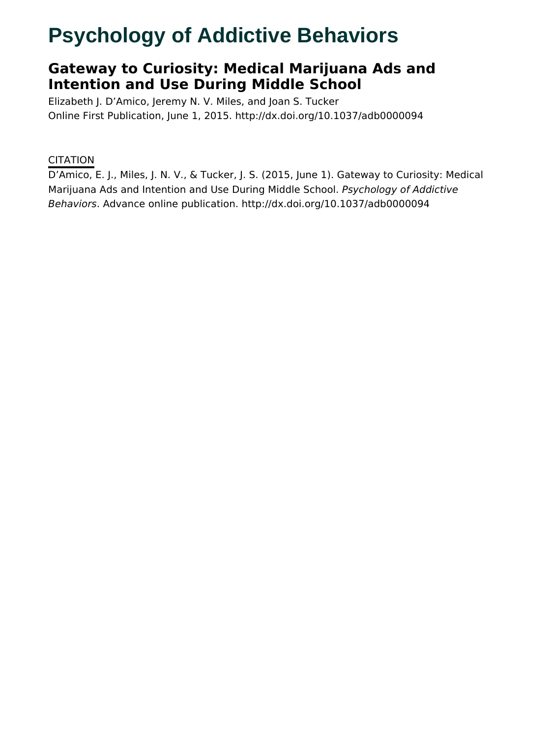# **Psychology of Addictive Behaviors**

## **Gateway to Curiosity: Medical Marijuana Ads and Intention and Use During Middle School**

Elizabeth J. D'Amico, Jeremy N. V. Miles, and Joan S. Tucker Online First Publication, June 1, 2015. http://dx.doi.org/10.1037/adb0000094

### **CITATION**

D'Amico, E. J., Miles, J. N. V., & Tucker, J. S. (2015, June 1). Gateway to Curiosity: Medical Marijuana Ads and Intention and Use During Middle School. Psychology of Addictive Behaviors. Advance online publication. http://dx.doi.org/10.1037/adb0000094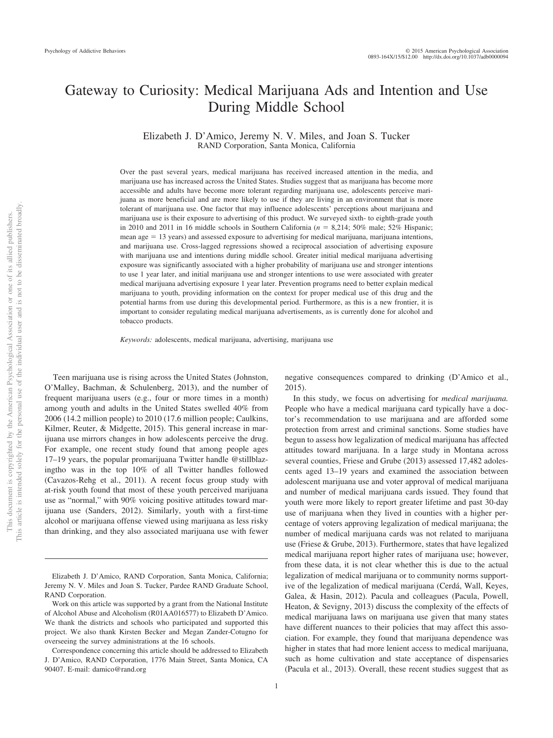### Gateway to Curiosity: Medical Marijuana Ads and Intention and Use During Middle School

Elizabeth J. D'Amico, Jeremy N. V. Miles, and Joan S. Tucker RAND Corporation, Santa Monica, California

Over the past several years, medical marijuana has received increased attention in the media, and marijuana use has increased across the United States. Studies suggest that as marijuana has become more accessible and adults have become more tolerant regarding marijuana use, adolescents perceive marijuana as more beneficial and are more likely to use if they are living in an environment that is more tolerant of marijuana use. One factor that may influence adolescents' perceptions about marijuana and marijuana use is their exposure to advertising of this product. We surveyed sixth- to eighth-grade youth in 2010 and 2011 in 16 middle schools in Southern California  $(n = 8,214; 50\%$  male; 52% Hispanic; mean age = 13 years) and assessed exposure to advertising for medical marijuana, marijuana intentions, and marijuana use. Cross-lagged regressions showed a reciprocal association of advertising exposure with marijuana use and intentions during middle school. Greater initial medical marijuana advertising exposure was significantly associated with a higher probability of marijuana use and stronger intentions to use 1 year later, and initial marijuana use and stronger intentions to use were associated with greater medical marijuana advertising exposure 1 year later. Prevention programs need to better explain medical marijuana to youth, providing information on the context for proper medical use of this drug and the potential harms from use during this developmental period. Furthermore, as this is a new frontier, it is important to consider regulating medical marijuana advertisements, as is currently done for alcohol and tobacco products.

*Keywords:* adolescents, medical marijuana, advertising, marijuana use

Teen marijuana use is rising across the United States (Johnston, O'Malley, Bachman, & Schulenberg, 2013), and the number of frequent marijuana users (e.g., four or more times in a month) among youth and adults in the United States swelled 40% from 2006 (14.2 million people) to 2010 (17.6 million people; Caulkins, Kilmer, Reuter, & Midgette, 2015). This general increase in marijuana use mirrors changes in how adolescents perceive the drug. For example, one recent study found that among people ages 17–19 years, the popular promarijuana Twitter handle @stillblazingtho was in the top 10% of all Twitter handles followed (Cavazos-Rehg et al., 2011). A recent focus group study with at-risk youth found that most of these youth perceived marijuana use as "normal," with 90% voicing positive attitudes toward marijuana use (Sanders, 2012). Similarly, youth with a first-time alcohol or marijuana offense viewed using marijuana as less risky than drinking, and they also associated marijuana use with fewer

negative consequences compared to drinking (D'Amico et al., 2015).

In this study, we focus on advertising for *medical marijuana.* People who have a medical marijuana card typically have a doctor's recommendation to use marijuana and are afforded some protection from arrest and criminal sanctions. Some studies have begun to assess how legalization of medical marijuana has affected attitudes toward marijuana. In a large study in Montana across several counties, Friese and Grube (2013) assessed 17,482 adolescents aged 13–19 years and examined the association between adolescent marijuana use and voter approval of medical marijuana and number of medical marijuana cards issued. They found that youth were more likely to report greater lifetime and past 30-day use of marijuana when they lived in counties with a higher percentage of voters approving legalization of medical marijuana; the number of medical marijuana cards was not related to marijuana use (Friese & Grube, 2013). Furthermore, states that have legalized medical marijuana report higher rates of marijuana use; however, from these data, it is not clear whether this is due to the actual legalization of medical marijuana or to community norms supportive of the legalization of medical marijuana (Cerdá, Wall, Keyes, Galea, & Hasin, 2012). Pacula and colleagues (Pacula, Powell, Heaton, & Sevigny, 2013) discuss the complexity of the effects of medical marijuana laws on marijuana use given that many states have different nuances to their policies that may affect this association. For example, they found that marijuana dependence was higher in states that had more lenient access to medical marijuana, such as home cultivation and state acceptance of dispensaries (Pacula et al., 2013). Overall, these recent studies suggest that as

Elizabeth J. D'Amico, RAND Corporation, Santa Monica, California; Jeremy N. V. Miles and Joan S. Tucker, Pardee RAND Graduate School, RAND Corporation.

Work on this article was supported by a grant from the National Institute of Alcohol Abuse and Alcoholism (R01AA016577) to Elizabeth D'Amico. We thank the districts and schools who participated and supported this project. We also thank Kirsten Becker and Megan Zander-Cotugno for overseeing the survey administrations at the 16 schools.

Correspondence concerning this article should be addressed to Elizabeth J. D'Amico, RAND Corporation, 1776 Main Street, Santa Monica, CA 90407. E-mail: damico@rand.org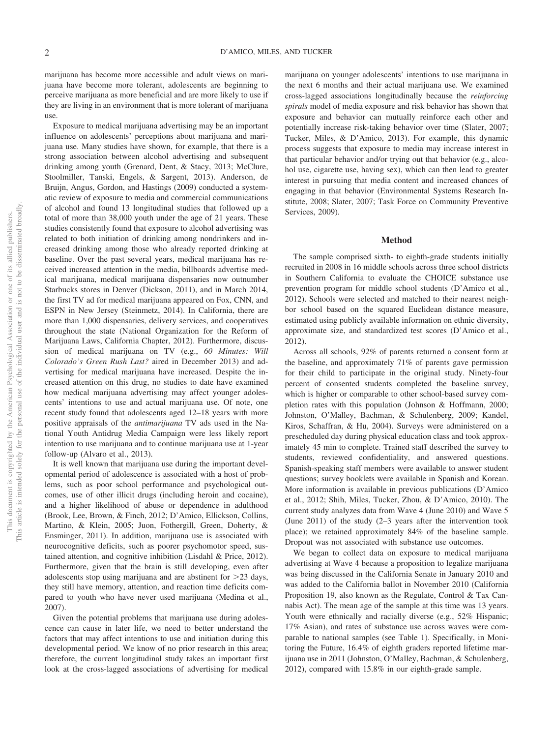marijuana has become more accessible and adult views on marijuana have become more tolerant, adolescents are beginning to perceive marijuana as more beneficial and are more likely to use if they are living in an environment that is more tolerant of marijuana use.

Exposure to medical marijuana advertising may be an important influence on adolescents' perceptions about marijuana and marijuana use. Many studies have shown, for example, that there is a strong association between alcohol advertising and subsequent drinking among youth (Grenard, Dent, & Stacy, 2013; McClure, Stoolmiller, Tanski, Engels, & Sargent, 2013). Anderson, de Bruijn, Angus, Gordon, and Hastings (2009) conducted a systematic review of exposure to media and commercial communications of alcohol and found 13 longitudinal studies that followed up a total of more than 38,000 youth under the age of 21 years. These studies consistently found that exposure to alcohol advertising was related to both initiation of drinking among nondrinkers and increased drinking among those who already reported drinking at baseline. Over the past several years, medical marijuana has received increased attention in the media, billboards advertise medical marijuana, medical marijuana dispensaries now outnumber Starbucks stores in Denver (Dickson, 2011), and in March 2014, the first TV ad for medical marijuana appeared on Fox, CNN, and ESPN in New Jersey (Steinmetz, 2014). In California, there are more than 1,000 dispensaries, delivery services, and cooperatives throughout the state (National Organization for the Reform of Marijuana Laws, California Chapter, 2012). Furthermore, discussion of medical marijuana on TV (e.g., *60 Minutes: Will Colorado's Green Rush Last?* aired in December 2013) and advertising for medical marijuana have increased. Despite the increased attention on this drug, no studies to date have examined how medical marijuana advertising may affect younger adolescents' intentions to use and actual marijuana use. Of note, one recent study found that adolescents aged 12–18 years with more positive appraisals of the *antimarijuana* TV ads used in the National Youth Antidrug Media Campaign were less likely report intention to use marijuana and to continue marijuana use at 1-year follow-up (Alvaro et al., 2013).

It is well known that marijuana use during the important developmental period of adolescence is associated with a host of problems, such as poor school performance and psychological outcomes, use of other illicit drugs (including heroin and cocaine), and a higher likelihood of abuse or dependence in adulthood (Brook, Lee, Brown, & Finch, 2012; D'Amico, Ellickson, Collins, Martino, & Klein, 2005; Juon, Fothergill, Green, Doherty, & Ensminger, 2011). In addition, marijuana use is associated with neurocognitive deficits, such as poorer psychomotor speed, sustained attention, and cognitive inhibition (Lisdahl & Price, 2012). Furthermore, given that the brain is still developing, even after adolescents stop using marijuana and are abstinent for  $>23$  days, they still have memory, attention, and reaction time deficits compared to youth who have never used marijuana (Medina et al., 2007).

Given the potential problems that marijuana use during adolescence can cause in later life, we need to better understand the factors that may affect intentions to use and initiation during this developmental period. We know of no prior research in this area; therefore, the current longitudinal study takes an important first look at the cross-lagged associations of advertising for medical marijuana on younger adolescents' intentions to use marijuana in the next 6 months and their actual marijuana use. We examined cross-lagged associations longitudinally because the *reinforcing spirals* model of media exposure and risk behavior has shown that exposure and behavior can mutually reinforce each other and potentially increase risk-taking behavior over time (Slater, 2007; Tucker, Miles, & D'Amico, 2013). For example, this dynamic process suggests that exposure to media may increase interest in that particular behavior and/or trying out that behavior (e.g., alcohol use, cigarette use, having sex), which can then lead to greater interest in pursuing that media content and increased chances of engaging in that behavior (Environmental Systems Research Institute, 2008; Slater, 2007; Task Force on Community Preventive Services, 2009).

#### **Method**

The sample comprised sixth- to eighth-grade students initially recruited in 2008 in 16 middle schools across three school districts in Southern California to evaluate the CHOICE substance use prevention program for middle school students (D'Amico et al., 2012). Schools were selected and matched to their nearest neighbor school based on the squared Euclidean distance measure, estimated using publicly available information on ethnic diversity, approximate size, and standardized test scores (D'Amico et al., 2012).

Across all schools, 92% of parents returned a consent form at the baseline, and approximately 71% of parents gave permission for their child to participate in the original study. Ninety-four percent of consented students completed the baseline survey, which is higher or comparable to other school-based survey completion rates with this population (Johnson & Hoffmann, 2000; Johnston, O'Malley, Bachman, & Schulenberg, 2009; Kandel, Kiros, Schaffran, & Hu, 2004). Surveys were administered on a prescheduled day during physical education class and took approximately 45 min to complete. Trained staff described the survey to students, reviewed confidentiality, and answered questions. Spanish-speaking staff members were available to answer student questions; survey booklets were available in Spanish and Korean. More information is available in previous publications (D'Amico et al., 2012; Shih, Miles, Tucker, Zhou, & D'Amico, 2010). The current study analyzes data from Wave 4 (June 2010) and Wave 5 (June 2011) of the study (2–3 years after the intervention took place); we retained approximately 84% of the baseline sample. Dropout was not associated with substance use outcomes.

We began to collect data on exposure to medical marijuana advertising at Wave 4 because a proposition to legalize marijuana was being discussed in the California Senate in January 2010 and was added to the California ballot in November 2010 (California Proposition 19, also known as the Regulate, Control & Tax Cannabis Act). The mean age of the sample at this time was 13 years. Youth were ethnically and racially diverse (e.g., 52% Hispanic; 17% Asian), and rates of substance use across waves were comparable to national samples (see Table 1). Specifically, in Monitoring the Future, 16.4% of eighth graders reported lifetime marijuana use in 2011 (Johnston, O'Malley, Bachman, & Schulenberg, 2012), compared with 15.8% in our eighth-grade sample.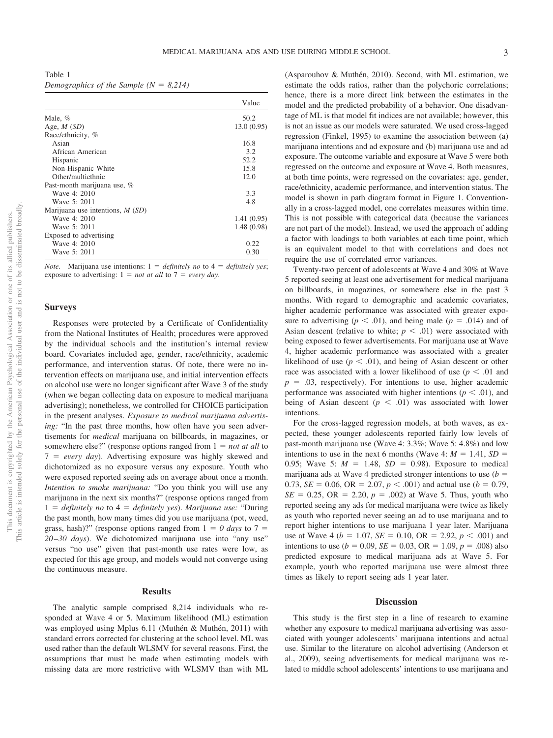Table 1 *Demographics of the Sample (N* - *8,214)*

|                                   | Value       |
|-----------------------------------|-------------|
| Male, %                           | 50.2        |
| Age, $M(SD)$                      | 13.0(0.95)  |
| Race/ethnicity, %                 |             |
| Asian                             | 16.8        |
| African American                  | 3.2         |
| Hispanic                          | 52.2        |
| Non-Hispanic White                | 15.8        |
| Other/multiethnic                 | 12.0        |
| Past-month marijuana use, %       |             |
| Wave 4: 2010                      | 3.3         |
| Wave 5: 2011                      | 4.8         |
| Marijuana use intentions, $M(SD)$ |             |
| Wave 4: 2010                      | 1.41(0.95)  |
| Wave 5: 2011                      | 1.48 (0.98) |
| Exposed to advertising            |             |
| Wave 4: 2010                      | 0.22        |
| Wave 5: 2011                      | 0.30        |

*Note.* Marijuana use intentions:  $1 = \text{definitely no to } 4 = \text{definitely yes};$ exposure to advertising:  $1 = not at all$  to  $7 = every day$ .

#### **Surveys**

Responses were protected by a Certificate of Confidentiality from the National Institutes of Health; procedures were approved by the individual schools and the institution's internal review board. Covariates included age, gender, race/ethnicity, academic performance, and intervention status. Of note, there were no intervention effects on marijuana use, and initial intervention effects on alcohol use were no longer significant after Wave 3 of the study (when we began collecting data on exposure to medical marijuana advertising); nonetheless, we controlled for CHOICE participation in the present analyses. *Exposure to medical marijuana advertising:* "In the past three months, how often have you seen advertisements for *medical* marijuana on billboards, in magazines, or somewhere else?" (response options ranged from  $1 = not at all$  to 7 - *every day*). Advertising exposure was highly skewed and dichotomized as no exposure versus any exposure. Youth who were exposed reported seeing ads on average about once a month. *Intention to smoke marijuana:* "Do you think you will use any marijuana in the next six months?" (response options ranged from 1 - *definitely no* to 4 - *definitely yes*). *Marijuana use:* "During the past month, how many times did you use marijuana (pot, weed, grass, hash)?" (response options ranged from  $1 = 0$  days to  $7 = 1$ *20 –30 days*). We dichotomized marijuana use into "any use" versus "no use" given that past-month use rates were low, as expected for this age group, and models would not converge using the continuous measure.

#### **Results**

The analytic sample comprised 8,214 individuals who responded at Wave 4 or 5. Maximum likelihood (ML) estimation was employed using Mplus 6.11 (Muthén & Muthén, 2011) with standard errors corrected for clustering at the school level. ML was used rather than the default WLSMV for several reasons. First, the assumptions that must be made when estimating models with missing data are more restrictive with WLSMV than with ML

(Asparouhov & Muthén, 2010). Second, with ML estimation, we estimate the odds ratios, rather than the polychoric correlations; hence, there is a more direct link between the estimates in the model and the predicted probability of a behavior. One disadvantage of ML is that model fit indices are not available; however, this is not an issue as our models were saturated. We used cross-lagged regression (Finkel, 1995) to examine the association between (a) marijuana intentions and ad exposure and (b) marijuana use and ad exposure. The outcome variable and exposure at Wave 5 were both regressed on the outcome and exposure at Wave 4. Both measures, at both time points, were regressed on the covariates: age, gender, race/ethnicity, academic performance, and intervention status. The model is shown in path diagram format in Figure 1. Conventionally in a cross-lagged model, one correlates measures within time. This is not possible with categorical data (because the variances are not part of the model). Instead, we used the approach of adding a factor with loadings to both variables at each time point, which is an equivalent model to that with correlations and does not require the use of correlated error variances.

Twenty-two percent of adolescents at Wave 4 and 30% at Wave 5 reported seeing at least one advertisement for medical marijuana on billboards, in magazines, or somewhere else in the past 3 months. With regard to demographic and academic covariates, higher academic performance was associated with greater exposure to advertising ( $p < .01$ ), and being male ( $p = .014$ ) and of Asian descent (relative to white;  $p \leq .01$ ) were associated with being exposed to fewer advertisements. For marijuana use at Wave 4, higher academic performance was associated with a greater likelihood of use ( $p < .01$ ), and being of Asian descent or other race was associated with a lower likelihood of use  $(p < .01$  and  $p = .03$ , respectively). For intentions to use, higher academic performance was associated with higher intentions ( $p < .01$ ), and being of Asian descent  $(p < .01)$  was associated with lower intentions.

For the cross-lagged regression models, at both waves, as expected, these younger adolescents reported fairly low levels of past-month marijuana use (Wave 4: 3.3%; Wave 5: 4.8%) and low intentions to use in the next 6 months (Wave 4:  $M = 1.41$ ,  $SD =$ 0.95; Wave 5:  $M = 1.48$ ,  $SD = 0.98$ ). Exposure to medical marijuana ads at Wave 4 predicted stronger intentions to use  $(b =$ 0.73,  $SE = 0.06$ ,  $OR = 2.07$ ,  $p < .001$ ) and actual use ( $b = 0.79$ ,  $SE = 0.25$ ,  $OR = 2.20$ ,  $p = .002$ ) at Wave 5. Thus, youth who reported seeing any ads for medical marijuana were twice as likely as youth who reported never seeing an ad to use marijuana and to report higher intentions to use marijuana 1 year later. Marijuana use at Wave 4 ( $b = 1.07$ ,  $SE = 0.10$ ,  $OR = 2.92$ ,  $p < .001$ ) and intentions to use ( $b = 0.09$ ,  $SE = 0.03$ ,  $OR = 1.09$ ,  $p = .008$ ) also predicted exposure to medical marijuana ads at Wave 5. For example, youth who reported marijuana use were almost three times as likely to report seeing ads 1 year later.

#### **Discussion**

This study is the first step in a line of research to examine whether any exposure to medical marijuana advertising was associated with younger adolescents' marijuana intentions and actual use. Similar to the literature on alcohol advertising (Anderson et al., 2009), seeing advertisements for medical marijuana was related to middle school adolescents' intentions to use marijuana and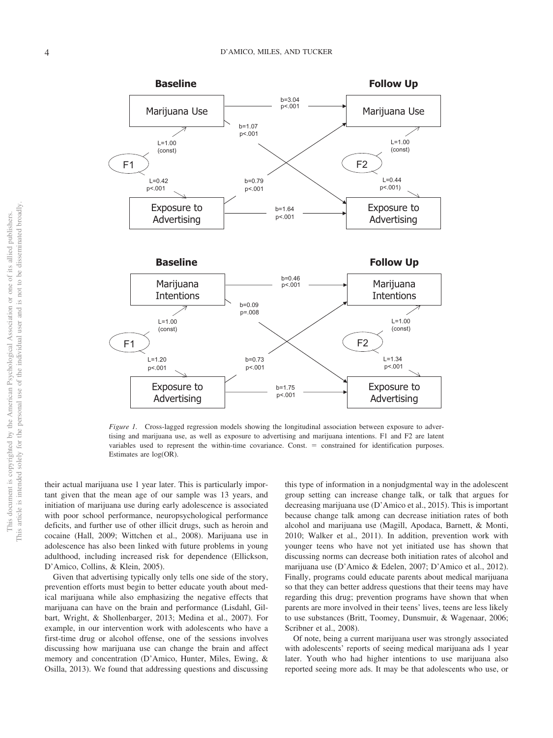

*Figure 1.* Cross-lagged regression models showing the longitudinal association between exposure to advertising and marijuana use, as well as exposure to advertising and marijuana intentions. F1 and F2 are latent variables used to represent the within-time covariance. Const. = constrained for identification purposes. Estimates are log(OR).

their actual marijuana use 1 year later. This is particularly important given that the mean age of our sample was 13 years, and initiation of marijuana use during early adolescence is associated with poor school performance, neuropsychological performance deficits, and further use of other illicit drugs, such as heroin and cocaine (Hall, 2009; Wittchen et al., 2008). Marijuana use in adolescence has also been linked with future problems in young adulthood, including increased risk for dependence (Ellickson, D'Amico, Collins, & Klein, 2005).

Given that advertising typically only tells one side of the story, prevention efforts must begin to better educate youth about medical marijuana while also emphasizing the negative effects that marijuana can have on the brain and performance (Lisdahl, Gilbart, Wright, & Shollenbarger, 2013; Medina et al., 2007). For example, in our intervention work with adolescents who have a first-time drug or alcohol offense, one of the sessions involves discussing how marijuana use can change the brain and affect memory and concentration (D'Amico, Hunter, Miles, Ewing, & Osilla, 2013). We found that addressing questions and discussing

this type of information in a nonjudgmental way in the adolescent group setting can increase change talk, or talk that argues for decreasing marijuana use (D'Amico et al., 2015). This is important because change talk among can decrease initiation rates of both alcohol and marijuana use (Magill, Apodaca, Barnett, & Monti, 2010; Walker et al., 2011). In addition, prevention work with younger teens who have not yet initiated use has shown that discussing norms can decrease both initiation rates of alcohol and marijuana use (D'Amico & Edelen, 2007; D'Amico et al., 2012). Finally, programs could educate parents about medical marijuana so that they can better address questions that their teens may have regarding this drug; prevention programs have shown that when parents are more involved in their teens' lives, teens are less likely to use substances (Britt, Toomey, Dunsmuir, & Wagenaar, 2006; Scribner et al., 2008).

Of note, being a current marijuana user was strongly associated with adolescents' reports of seeing medical marijuana ads 1 year later. Youth who had higher intentions to use marijuana also reported seeing more ads. It may be that adolescents who use, or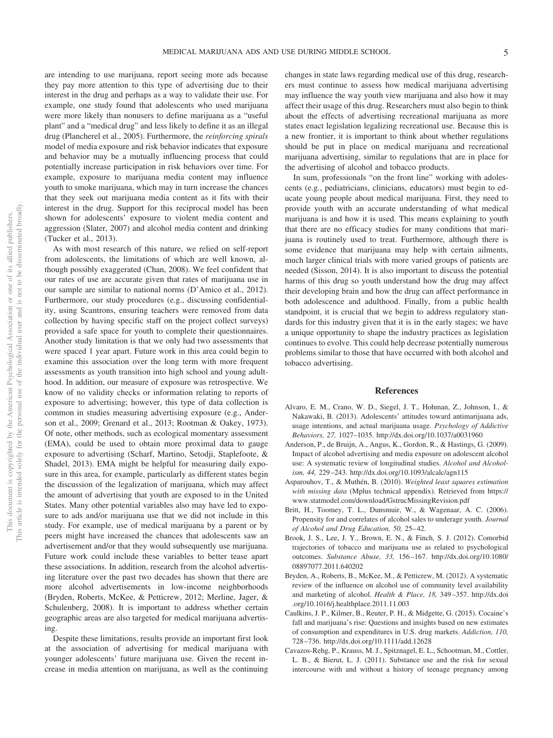are intending to use marijuana, report seeing more ads because they pay more attention to this type of advertising due to their interest in the drug and perhaps as a way to validate their use. For example, one study found that adolescents who used marijuana were more likely than nonusers to define marijuana as a "useful plant" and a "medical drug" and less likely to define it as an illegal drug (Plancherel et al., 2005). Furthermore, the *reinforcing spirals* model of media exposure and risk behavior indicates that exposure and behavior may be a mutually influencing process that could potentially increase participation in risk behaviors over time. For example, exposure to marijuana media content may influence youth to smoke marijuana, which may in turn increase the chances that they seek out marijuana media content as it fits with their interest in the drug. Support for this reciprocal model has been shown for adolescents' exposure to violent media content and aggression (Slater, 2007) and alcohol media content and drinking (Tucker et al., 2013).

As with most research of this nature, we relied on self-report from adolescents, the limitations of which are well known, although possibly exaggerated (Chan, 2008). We feel confident that our rates of use are accurate given that rates of marijuana use in our sample are similar to national norms (D'Amico et al., 2012). Furthermore, our study procedures (e.g., discussing confidentiality, using Scantrons, ensuring teachers were removed from data collection by having specific staff on the project collect surveys) provided a safe space for youth to complete their questionnaires. Another study limitation is that we only had two assessments that were spaced 1 year apart. Future work in this area could begin to examine this association over the long term with more frequent assessments as youth transition into high school and young adulthood. In addition, our measure of exposure was retrospective. We know of no validity checks or information relating to reports of exposure to advertising; however, this type of data collection is common in studies measuring advertising exposure (e.g., Anderson et al., 2009; Grenard et al., 2013; Rootman & Oakey, 1973). Of note, other methods, such as ecological momentary assessment (EMA), could be used to obtain more proximal data to gauge exposure to advertising (Scharf, Martino, Setodji, Staplefoote, & Shadel, 2013). EMA might be helpful for measuring daily exposure in this area, for example, particularly as different states begin the discussion of the legalization of marijuana, which may affect the amount of advertising that youth are exposed to in the United States. Many other potential variables also may have led to exposure to ads and/or marijuana use that we did not include in this study. For example, use of medical marijuana by a parent or by peers might have increased the chances that adolescents saw an advertisement and/or that they would subsequently use marijuana. Future work could include these variables to better tease apart these associations. In addition, research from the alcohol advertising literature over the past two decades has shown that there are more alcohol advertisements in low-income neighborhoods (Bryden, Roberts, McKee, & Petticrew, 2012; Merline, Jager, & Schulenberg, 2008). It is important to address whether certain geographic areas are also targeted for medical marijuana advertising.

Despite these limitations, results provide an important first look at the association of advertising for medical marijuana with younger adolescents' future marijuana use. Given the recent increase in media attention on marijuana, as well as the continuing changes in state laws regarding medical use of this drug, researchers must continue to assess how medical marijuana advertising may influence the way youth view marijuana and also how it may affect their usage of this drug. Researchers must also begin to think about the effects of advertising recreational marijuana as more states enact legislation legalizing recreational use. Because this is a new frontier, it is important to think about whether regulations should be put in place on medical marijuana and recreational marijuana advertising, similar to regulations that are in place for the advertising of alcohol and tobacco products.

In sum, professionals "on the front line" working with adolescents (e.g., pediatricians, clinicians, educators) must begin to educate young people about medical marijuana. First, they need to provide youth with an accurate understanding of what medical marijuana is and how it is used. This means explaining to youth that there are no efficacy studies for many conditions that marijuana is routinely used to treat. Furthermore, although there is some evidence that marijuana may help with certain ailments, much larger clinical trials with more varied groups of patients are needed (Sisson, 2014). It is also important to discuss the potential harms of this drug so youth understand how the drug may affect their developing brain and how the drug can affect performance in both adolescence and adulthood. Finally, from a public health standpoint, it is crucial that we begin to address regulatory standards for this industry given that it is in the early stages; we have a unique opportunity to shape the industry practices as legislation continues to evolve. This could help decrease potentially numerous problems similar to those that have occurred with both alcohol and tobacco advertising.

#### **References**

- Alvaro, E. M., Crano, W. D., Siegel, J. T., Hohman, Z., Johnson, I., & Nakawaki, B. (2013). Adolescents' attitudes toward antimarijuana ads, usage intentions, and actual marijuana usage. *Psychology of Addictive Behaviors, 27,* 1027–1035. http://dx.doi.org/10.1037/a0031960
- Anderson, P., de Bruijn, A., Angus, K., Gordon, R., & Hastings, G. (2009). Impact of alcohol advertising and media exposure on adolescent alcohol use: A systematic review of longitudinal studies. *Alcohol and Alcoholism, 44,* 229 –243. http://dx.doi.org/10.1093/alcalc/agn115
- Asparouhov, T., & Muthén, B. (2010). *Weighted least squares estimation with missing data* (Mplus technical appendix). Retrieved from https:// www.statmodel.com/download/GstrucMissingRevision.pdf
- Britt, H., Toomey, T. L., Dunsmuir, W., & Wagenaar, A. C. (2006). Propensity for and correlates of alcohol sales to underage youth. *Journal of Alcohol and Drug Education, 50,* 25– 42.
- Brook, J. S., Lee, J. Y., Brown, E. N., & Finch, S. J. (2012). Comorbid trajectories of tobacco and marijuana use as related to psychological outcomes. *Substance Abuse, 33,* 156 –167. http://dx.doi.org/10.1080/ 08897077.2011.640202
- Bryden, A., Roberts, B., McKee, M., & Petticrew, M. (2012). A systematic review of the influence on alcohol use of community level availability and marketing of alcohol. *Health & Place, 18,* 349 –357. http://dx.doi .org/10.1016/j.healthplace.2011.11.003
- Caulkins, J. P., Kilmer, B., Reuter, P. H., & Midgette, G. (2015). Cocaine's fall and marijuana's rise: Questions and insights based on new estimates of consumption and expenditures in U.S. drug markets. *Addiction, 110,* 728 –736. http://dx.doi.org/10.1111/add.12628
- Cavazos-Rehg, P., Krauss, M. J., Spitznagel, E. L., Schootman, M., Cottler, L. B., & Bierut, L. J. (2011). Substance use and the risk for sexual intercourse with and without a history of teenage pregnancy among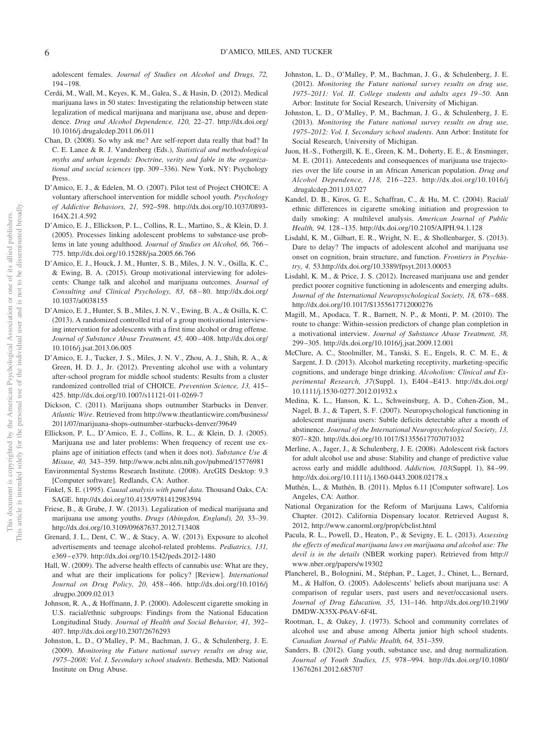adolescent females. *Journal of Studies on Alcohol and Drugs, 72,* 194 –198.

- Cerdá, M., Wall, M., Keyes, K. M., Galea, S., & Hasin, D. (2012). Medical marijuana laws in 50 states: Investigating the relationship between state legalization of medical marijuana and marijuana use, abuse and dependence. *Drug and Alcohol Dependence, 120,* 22–27. http://dx.doi.org/ 10.1016/j.drugalcdep.2011.06.011
- Chan, D. (2008). So why ask me? Are self-report data really that bad? In C. E. Lance & R. J. Vandenberg (Eds.), *Statistical and methodological myths and urban legends: Doctrine, verity and fable in the organizational and social sciences* (pp. 309 –336). New York, NY: Psychology Press.
- D'Amico, E. J., & Edelen, M. O. (2007). Pilot test of Project CHOICE: A voluntary afterschool intervention for middle school youth. *Psychology of Addictive Behaviors, 21,* 592–598. http://dx.doi.org/10.1037/0893- 164X.21.4.592
- D'Amico, E. J., Ellickson, P. L., Collins, R. L., Martino, S., & Klein, D. J. (2005). Processes linking adolescent problems to substance-use problems in late young adulthood. *Journal of Studies on Alcohol, 66,* 766 – 775. http://dx.doi.org/10.15288/jsa.2005.66.766
- D'Amico, E. J., Houck, J. M., Hunter, S. B., Miles, J. N. V., Osilla, K. C., & Ewing, B. A. (2015). Group motivational interviewing for adolescents: Change talk and alcohol and marijuana outcomes. *Journal of Consulting and Clinical Psychology, 83,* 68 – 80. http://dx.doi.org/ 10.1037/a0038155
- D'Amico, E. J., Hunter, S. B., Miles, J. N. V., Ewing, B. A., & Osilla, K. C. (2013). A randomized controlled trial of a group motivational interviewing intervention for adolescents with a first time alcohol or drug offense. *Journal of Substance Abuse Treatment, 45,* 400 – 408. http://dx.doi.org/ 10.1016/j.jsat.2013.06.005
- D'Amico, E. J., Tucker, J. S., Miles, J. N. V., Zhou, A. J., Shih, R. A., & Green, H. D. J., Jr. (2012). Preventing alcohol use with a voluntary after-school program for middle school students: Results from a cluster randomized controlled trial of CHOICE. *Prevention Science, 13,* 415– 425. http://dx.doi.org/10.1007/s11121-011-0269-7
- Dickson, C. (2011). Marijuana shops outnumber Starbucks in Denver. *Atlantic Wire*. Retrieved from http://www.theatlanticwire.com/business/ 2011/07/marijuana-shops-outnumber-starbucks-denver/39649
- Ellickson, P. L., D'Amico, E. J., Collins, R. L., & Klein, D. J. (2005). Marijuana use and later problems: When frequency of recent use explains age of initiation effects (and when it does not). *Substance Use & Misuse, 40,* 343–359. http://www.ncbi.nlm.nih.gov/pubmed/15776981
- Environmental Systems Research Institute. (2008). ArcGIS Desktop: 9.3 [Computer software]. Redlands, CA: Author.
- Finkel, S. E. (1995). *Causal analysis with panel data*. Thousand Oaks, CA: SAGE. http://dx.doi.org/10.4135/9781412983594
- Friese, B., & Grube, J. W. (2013). Legalization of medical marijuana and marijuana use among youths. *Drugs (Abingdon, England), 20,* 33–39. http://dx.doi.org/10.3109/09687637.2012.713408
- Grenard, J. L., Dent, C. W., & Stacy, A. W. (2013). Exposure to alcohol advertisements and teenage alcohol-related problems. *Pediatrics, 131,* e369 – e379. http://dx.doi.org/10.1542/peds.2012-1480
- Hall, W. (2009). The adverse health effects of cannabis use: What are they, and what are their implications for policy? [Review]. *International Journal on Drug Policy, 20,* 458 – 466. http://dx.doi.org/10.1016/j .drugpo.2009.02.013
- Johnson, R. A., & Hoffmann, J. P. (2000). Adolescent cigarette smoking in U.S. racial/ethnic subgroups: Findings from the National Education Longitudinal Study. *Journal of Health and Social Behavior, 41,* 392– 407. http://dx.doi.org/10.2307/2676293
- Johnston, L. D., O'Malley, P. M., Bachman, J. G., & Schulenberg, J. E. (2009). *Monitoring the Future national survey results on drug use, 1975–2008: Vol. I*. *Secondary school students*. Bethesda, MD: National Institute on Drug Abuse.
- Johnston, L. D., O'Malley, P. M., Bachman, J. G., & Schulenberg, J. E. (2012). *Monitoring the Future national survey results on drug use, 1975–2011: Vol. II*. *College students and adults ages 19 –50*. Ann Arbor: Institute for Social Research, University of Michigan.
- Johnston, L. D., O'Malley, P. M., Bachman, J. G., & Schulenberg, J. E. (2013). *Monitoring the Future national survey results on drug use, 1975–2012: Vol. I*. *Secondary school students*. Ann Arbor: Institute for Social Research, University of Michigan.
- Juon, H.-S., Fothergill, K. E., Green, K. M., Doherty, E. E., & Ensminger, M. E. (2011). Antecedents and consequences of marijuana use trajectories over the life course in an African American population. *Drug and Alcohol Dependence, 118,* 216 –223. http://dx.doi.org/10.1016/j .drugalcdep.2011.03.027
- Kandel, D. B., Kiros, G. E., Schaffran, C., & Hu, M. C. (2004). Racial/ ethnic differences in cigarette smoking initiation and progression to daily smoking: A multilevel analysis. *American Journal of Public Health, 94,* 128 –135. http://dx.doi.org/10.2105/AJPH.94.1.128
- Lisdahl, K. M., Gilbart, E. R., Wright, N. E., & Shollenbarger, S. (2013). Dare to delay? The impacts of adolescent alcohol and marijuana use onset on cognition, brain structure, and function. *Frontiers in Psychiatry, 4,* 53.http://dx.doi.org/10.3389/fpsyt.2013.00053
- Lisdahl, K. M., & Price, J. S. (2012). Increased marijuana use and gender predict poorer cognitive functioning in adolescents and emerging adults. *Journal of the International Neuropsychological Society, 18,* 678 – 688. http://dx.doi.org/10.1017/S1355617712000276
- Magill, M., Apodaca, T. R., Barnett, N. P., & Monti, P. M. (2010). The route to change: Within-session predictors of change plan completion in a motivational interview. *Journal of Substance Abuse Treatment, 38,* 299 –305. http://dx.doi.org/10.1016/j.jsat.2009.12.001
- McClure, A. C., Stoolmiller, M., Tanski, S. E., Engels, R. C. M. E., & Sargent, J. D. (2013). Alcohol marketing receptivity, marketing-specific cognitions, and underage binge drinking. *Alcoholism: Clinical and Experimental Research, 37*(Suppl. 1), E404 –E413. http://dx.doi.org/ 10.1111/j.1530-0277.2012.01932.x
- Medina, K. L., Hanson, K. L., Schweinsburg, A. D., Cohen-Zion, M., Nagel, B. J., & Tapert, S. F. (2007). Neuropsychological functioning in adolescent marijuana users: Subtle deficits detectable after a month of abstinence. *Journal of the International Neuropsychological Society, 13,* 807– 820. http://dx.doi.org/10.1017/S1355617707071032
- Merline, A., Jager, J., & Schulenberg, J. E. (2008). Adolescent risk factors for adult alcohol use and abuse: Stability and change of predictive value across early and middle adulthood. *Addiction, 103*(Suppl. 1), 84 –99. http://dx.doi.org/10.1111/j.1360-0443.2008.02178.x
- Muthén, L., & Muthén, B. (2011). Mplus 6.11 [Computer software]. Los Angeles, CA: Author.
- National Organization for the Reform of Marijuana Laws, California Chapter. (2012). California Dispensary locator. Retrieved August 8, 2012, http://www.canorml.org/prop/cbclist.html
- Pacula, R. L., Powell, D., Heaton, P., & Sevigny, E. L. (2013). *Assessing the effects of medical marijuana laws on marijuana and alcohol use: The devil is in the details* (NBER working paper). Retrieved from http:// www.nber.org/papers/w19302
- Plancherel, B., Bolognini, M., Stéphan, P., Laget, J., Chinet, L., Bernard, M., & Halfon, O. (2005). Adolescents' beliefs about marijuana use: A comparison of regular users, past users and never/occasional users. *Journal of Drug Education, 35,* 131–146. http://dx.doi.org/10.2190/ DMDW-X35X-P6AV-6F4L
- Rootman, I., & Oakey, J. (1973). School and community correlates of alcohol use and abuse among Alberta junior high school students. *Canadian Journal of Public Health, 64,* 351–359.
- Sanders, B. (2012). Gang youth, substance use, and drug normalization. *Journal of Youth Studies, 15,* 978 –994. http://dx.doi.org/10.1080/ 13676261.2012.685707